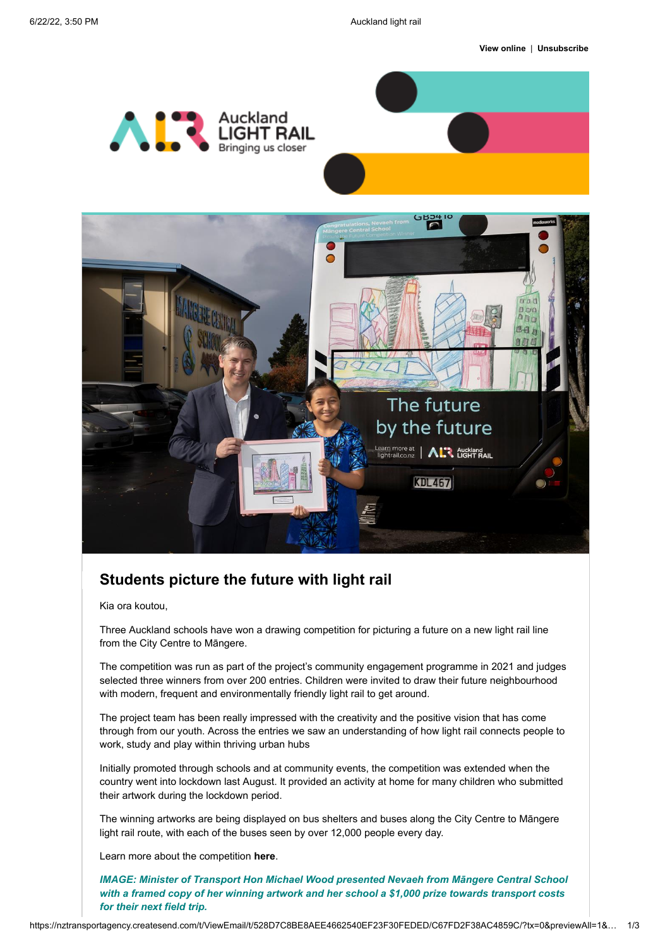



## **Students picture the future with light rail**

Kia ora koutou,

Three Auckland schools have won a drawing competition for picturing a future on a new light rail line from the City Centre to Māngere.

The competition was run as part of the project's community engagement programme in 2021 and judges selected three winners from over 200 entries. Children were invited to draw their future neighbourhood with modern, frequent and environmentally friendly light rail to get around.

The project team has been really impressed with the creativity and the positive vision that has come through from our youth. Across the entries we saw an understanding of how light rail connects people to work, study and play within thriving urban hubs

Initially promoted through schools and at community events, the competition was extended when the country went into lockdown last August. It provided an activity at home for many children who submitted their artwork during the lockdown period.

The winning artworks are being displayed on bus shelters and buses along the City Centre to Māngere light rail route, with each of the buses seen by over 12,000 people every day.

Learn more about the competition **[here](https://nzta-aucklandlightrail.createsend1.com/t/t-l-qkyijg-l-t/)**.

*IMAGE: Minister of Transport Hon Michael Wood presented Nevaeh from Māngere Central School with a framed copy of her winning artwork and her school a \$1,000 prize towards transport costs for their next field trip.*